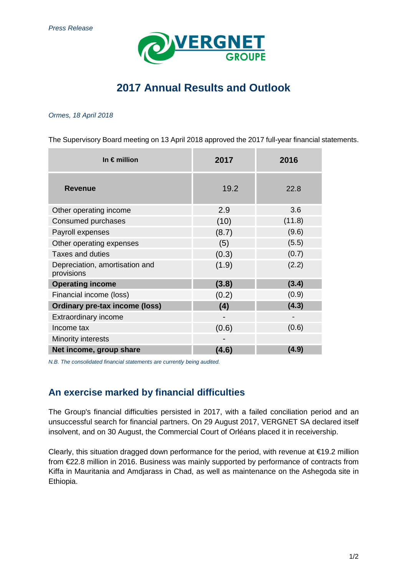

# **2017 Annual Results and Outlook**

### Ormes, 18 April 2018

The Supervisory Board meeting on 13 April 2018 approved the 2017 full-year financial statements.

| In $\epsilon$ million                        | 2017  | 2016   |
|----------------------------------------------|-------|--------|
| <b>Revenue</b>                               | 19.2  | 22.8   |
| Other operating income                       | 2.9   | 3.6    |
| Consumed purchases                           | (10)  | (11.8) |
| Payroll expenses                             | (8.7) | (9.6)  |
| Other operating expenses                     | (5)   | (5.5)  |
| <b>Taxes and duties</b>                      | (0.3) | (0.7)  |
| Depreciation, amortisation and<br>provisions | (1.9) | (2.2)  |
| <b>Operating income</b>                      | (3.8) | (3.4)  |
| Financial income (loss)                      | (0.2) | (0.9)  |
| <b>Ordinary pre-tax income (loss)</b>        | (4)   | (4.3)  |
| <b>Extraordinary income</b>                  |       |        |
| Income tax                                   | (0.6) | (0.6)  |
| Minority interests                           |       |        |
| Net income, group share                      | (4.6) | (4.9)  |

N.B. The consolidated financial statements are currently being audited.

## **An exercise marked by financial difficulties**

The Group's financial difficulties persisted in 2017, with a failed conciliation period and an unsuccessful search for financial partners. On 29 August 2017, VERGNET SA declared itself insolvent, and on 30 August, the Commercial Court of Orléans placed it in receivership.

Clearly, this situation dragged down performance for the period, with revenue at €19.2 million from €22.8 million in 2016. Business was mainly supported by performance of contracts from Kiffa in Mauritania and Amdjarass in Chad, as well as maintenance on the Ashegoda site in Ethiopia.